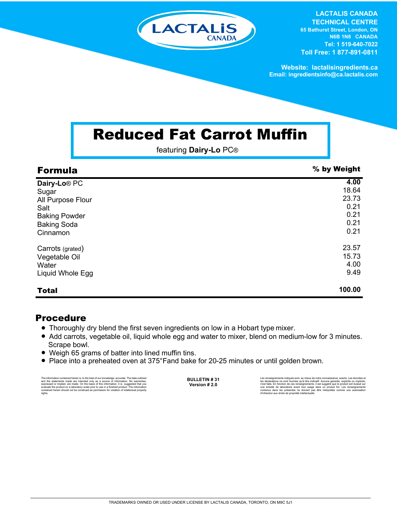

**LACTALIS CANADA TECHNICAL CENTRE 65 Bathurst Street, London, ON N6B 1N8 CANADA Tel: 1 519-640-7022 Toll Free: 1 877-891-0811**

**Website: lactalisingredients.ca Email: ingredientsinfo@ca.lactalis.com**

## Reduced Fat Carrot Muffin

featuring **Dairy-Lo** PC®

| <b>Formula</b>           | % by Weight |
|--------------------------|-------------|
| Dairy-Lo <sup>®</sup> PC | 4.00        |
| Sugar                    | 18.64       |
| All Purpose Flour        | 23.73       |
| Salt                     | 0.21        |
| <b>Baking Powder</b>     | 0.21        |
| <b>Baking Soda</b>       | 0.21        |
| Cinnamon                 | 0.21        |
| Carrots (grated)         | 23.57       |
| Vegetable Oil            | 15.73       |
| Water                    | 4.00        |
| Liquid Whole Egg         | 9.49        |
| <b>Total</b>             | 100.00      |

## Procedure

- Thoroughly dry blend the first seven ingredients on low in a Hobart type mixer.
- Add carrots, vegetable oil, liquid whole egg and water to mixer, blend on medium-low for 3 minutes. Scrape bowl.
- = Weigh 65 grams of batter into lined muffin tins.
- Place into a preheated oven at 375°Fand bake for 20-25 minutes or until golden brown.

The information contained herein is, to the best of our knowledge, accurate. The data cutlined the statements made are intended only as a source of information. No warranties, expressed or implied, are made. On the basis o

**BULLETIN # 31 Version # 2.0**

Les renseignements indiqués sont, au mieux de notre connaissance, exacts. Les données et<br>les déclarations ne sont fournies qu'à titre indicatif. Aucune garantie, explicite ou implicite,<br>riest faite. En fonction de ces rens